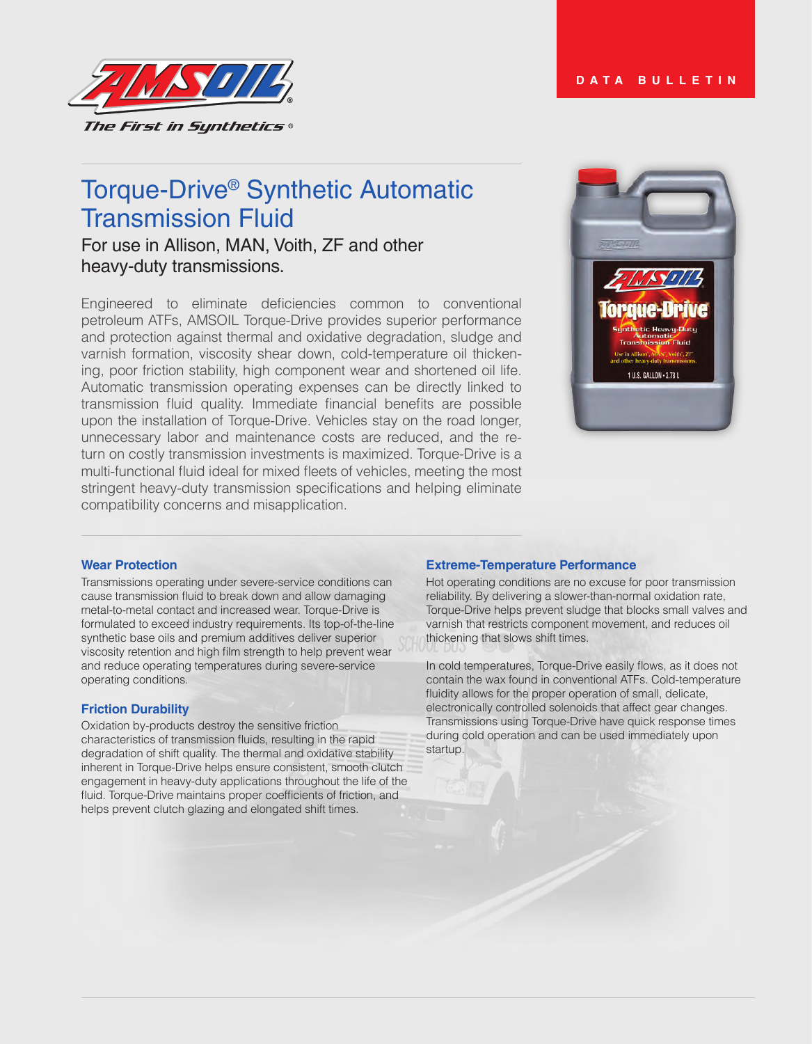

# Torque-Drive® Synthetic Automatic Transmission Fluid

## For use in Allison, MAN, Voith, ZF and other heavy-duty transmissions.

Engineered to eliminate deficiencies common to conventional petroleum ATFs, AMSOIL Torque-Drive provides superior performance and protection against thermal and oxidative degradation, sludge and varnish formation, viscosity shear down, cold-temperature oil thickening, poor friction stability, high component wear and shortened oil life. Automatic transmission operating expenses can be directly linked to transmission fluid quality. Immediate financial benefits are possible upon the installation of Torque-Drive. Vehicles stay on the road longer, unnecessary labor and maintenance costs are reduced, and the return on costly transmission investments is maximized. Torque-Drive is a multi-functional fluid ideal for mixed fleets of vehicles, meeting the most stringent heavy-duty transmission specifications and helping eliminate compatibility concerns and misapplication.



## **Wear Protection**

Transmissions operating under severe-service conditions can cause transmission fluid to break down and allow damaging metal-to-metal contact and increased wear. Torque-Drive is formulated to exceed industry requirements. Its top-of-the-line synthetic base oils and premium additives deliver superior viscosity retention and high film strength to help prevent wear and reduce operating temperatures during severe-service operating conditions.

## **Friction Durability**

Oxidation by-products destroy the sensitive friction characteristics of transmission fluids, resulting in the rapid degradation of shift quality. The thermal and oxidative stability inherent in Torque-Drive helps ensure consistent, smooth clutch engagement in heavy-duty applications throughout the life of the fluid. Torque-Drive maintains proper coefficients of friction, and helps prevent clutch glazing and elongated shift times.

#### **Extreme-Temperature Performance**

Hot operating conditions are no excuse for poor transmission reliability. By delivering a slower-than-normal oxidation rate, Torque-Drive helps prevent sludge that blocks small valves and varnish that restricts component movement, and reduces oil thickening that slows shift times.

In cold temperatures, Torque-Drive easily flows, as it does not contain the wax found in conventional ATFs. Cold-temperature fluidity allows for the proper operation of small, delicate, electronically controlled solenoids that affect gear changes. Transmissions using Torque-Drive have quick response times during cold operation and can be used immediately upon startup.